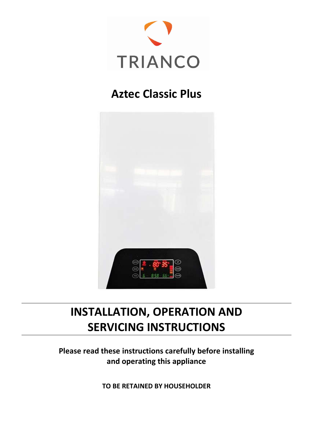

## **Aztec Classic Plus**



# **INSTALLATION, OPERATION AND SERVICING INSTRUCTIONS**

**Please read these instructions carefully before installing and operating this appliance**

**TO BE RETAINED BY HOUSEHOLDER**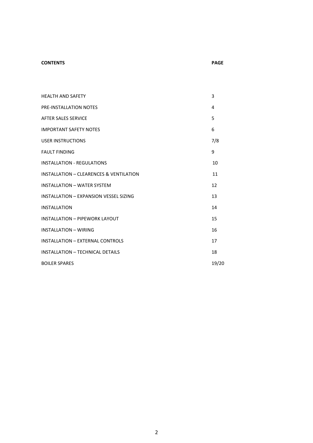#### **CONTENTS PAGE**

| <b>HEALTH AND SAFETY</b>                           | 3     |
|----------------------------------------------------|-------|
| PRE-INSTALLATION NOTES                             | 4     |
| <b>AFTER SALES SERVICE</b>                         | 5     |
| <b>IMPORTANT SAFETY NOTES</b>                      | 6     |
| <b>USER INSTRUCTIONS</b>                           | 7/8   |
| <b>FAULT FINDING</b>                               | 9     |
| <b>INSTALLATION - REGULATIONS</b>                  | 10    |
| <b>INSTALLATION - CLEARENCES &amp; VENTILATION</b> | 11    |
| <b>INSTALLATION - WATER SYSTEM</b>                 | 12    |
| INSTALLATION - EXPANSION VESSEL SIZING             | 13    |
| INSTALLATION                                       | 14    |
| <b>INSTALLATION - PIPEWORK LAYOUT</b>              | 15    |
| <b>INSTALLATION - WIRING</b>                       | 16    |
| <b>INSTALLATION - EXTERNAL CONTROLS</b>            | 17    |
| INSTALLATION - TECHNICAL DETAILS                   | 18    |
| <b>BOILER SPARES</b>                               | 19/20 |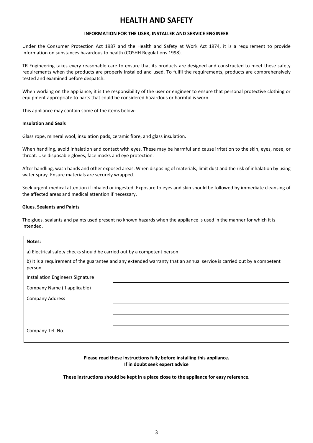### **HEALTH AND SAFETY**

#### **INFORMATION FOR THE USER, INSTALLER AND SERVICE ENGINEER**

Under the Consumer Protection Act 1987 and the Health and Safety at Work Act 1974, it is a requirement to provide information on substances hazardous to health (COSHH Regulations 1998).

TR Engineering takes every reasonable care to ensure that its products are designed and constructed to meet these safety requirements when the products are properly installed and used. To fulfil the requirements, products are comprehensively tested and examined before despatch.

When working on the appliance, it is the responsibility of the user or engineer to ensure that personal protective clothing or equipment appropriate to parts that could be considered hazardous or harmful is worn.

This appliance may contain some of the items below:

#### **Insulation and Seals**

Glass rope, mineral wool, insulation pads, ceramic fibre, and glass insulation.

When handling, avoid inhalation and contact with eyes. These may be harmful and cause irritation to the skin, eyes, nose, or throat. Use disposable gloves, face masks and eye protection.

After handling, wash hands and other exposed areas. When disposing of materials, limit dust and the risk of inhalation by using water spray. Ensure materials are securely wrapped.

Seek urgent medical attention if inhaled or ingested. Exposure to eyes and skin should be followed by immediate cleansing of the affected areas and medical attention if necessary.

#### **Glues, Sealants and Paints**

The glues, sealants and paints used present no known hazards when the appliance is used in the manner for which it is intended.

#### **Notes:**

a) Electrical safety checks should be carried out by a competent person.

b) It is a requirement of the guarantee and any extended warranty that an annual service is carried out by a competent person.

Installation Engineers Signature

Company Name (if applicable)

Company Address

Company Tel. No.

#### **Please read these instructions fully before installing this appliance. If in doubt seek expert advice**

**These instructions should be kept in a place close to the appliance for easy reference.**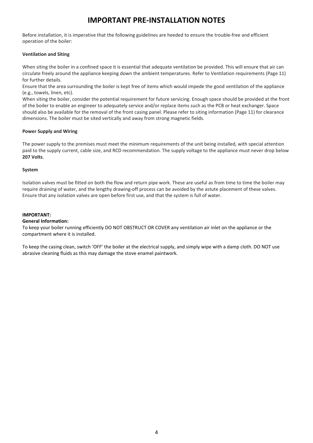### **IMPORTANT PRE-INSTALLATION NOTES**

Before installation, it is imperative that the following guidelines are heeded to ensure the trouble-free and efficient operation of the boiler:

#### **Ventilation and Siting**

When siting the boiler in a confined space it is essential that adequate ventilation be provided. This will ensure that air can circulate freely around the appliance keeping down the ambient temperatures. Refer to Ventilation requirements (Page 11) for further details.

Ensure that the area surrounding the boiler is kept free of items which would impede the good ventilation of the appliance (e.g., towels, linen, etc).

When siting the boiler, consider the potential requirement for future servicing. Enough space should be provided at the front of the boiler to enable an engineer to adequately service and/or replace items such as the PCB or heat exchanger. Space should also be available for the removal of the front casing panel. Please refer to siting information (Page 11) for clearance dimensions. The boiler must be sited vertically and away from strong magnetic fields.

#### **Power Supply and Wiring**

The power supply to the premises must meet the minimum requirements of the unit being installed, with special attention paid to the supply current, cable size, and RCD recommendation. The supply voltage to the appliance must never drop below **207 Volts**.

#### **System**

Isolation valves must be fitted on both the flow and return pipe work. These are useful as from time to time the boiler may require draining of water, and the lengthy drawing-off process can be avoided by the astute placement of these valves. Ensure that any isolation valves are open before first use, and that the system is full of water.

#### **IMPORTANT:**

#### **General Information:**

To keep your boiler running efficiently DO NOT OBSTRUCT OR COVER any ventilation air inlet on the appliance or the compartment where it is installed.

To keep the casing clean, switch 'OFF' the boiler at the electrical supply, and simply wipe with a damp cloth. DO NOT use abrasive cleaning fluids as this may damage the stove enamel paintwork.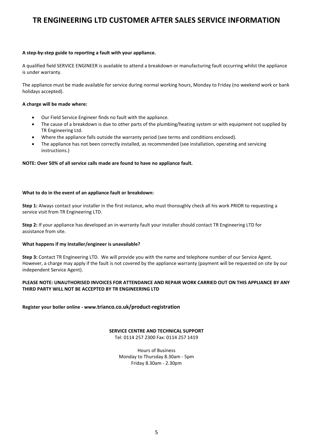### **TR ENGINEERING LTD CUSTOMER AFTER SALES SERVICE INFORMATION**

#### **A step-by-step guide to reporting a fault with your appliance.**

A qualified field SERVICE ENGINEER is available to attend a breakdown or manufacturing fault occurring whilst the appliance is under warranty.

The appliance must be made available for service during normal working hours, Monday to Friday (no weekend work or bank holidays accepted).

#### **A charge will be made where:**

- Our Field Service Engineer finds no fault with the appliance.
- The cause of a breakdown is due to other parts of the plumbing/heating system or with equipment not supplied by TR Engineering Ltd.
- Where the appliance falls outside the warranty period (see terms and conditions enclosed).
- The appliance has not been correctly installed, as recommended (see installation, operating and servicing instructions.)

#### **NOTE: Over 50% of all service calls made are found to have no appliance fault.**

#### **What to do in the event of an appliance fault or breakdown:**

**Step 1:** Always contact your installer in the first instance, who must thoroughly check all his work PRIOR to requesting a service visit from TR Engineering LTD.

**Step 2:** If your appliance has developed an in-warranty fault your installer should contact TR Engineering LTD for assistance from site.

#### **What happens if my Installer/engineer is unavailable?**

**Step 3:** Contact TR Engineering LTD. We will provide you with the name and telephone number of our Service Agent. However, a charge may apply if the fault is not covered by the appliance warranty (payment will be requested on site by our independent Service Agent).

#### **PLEASE NOTE: UNAUTHORISED INVOICES FOR ATTENDANCE AND REPAIR WORK CARRIED OUT ON THIS APPLIANCE BY ANY THIRD PARTY WILL NOT BE ACCEPTED BY TR ENGINEERING LTD**

**Register your boiler online - www.trianco.co.uk/product-registration**

#### **SERVICE CENTRE AND TECHNICAL SUPPORT**

Tel: 0114 257 2300 Fax: 0114 257 1419

Hours of Business Monday to Thursday 8.30am - 5pm Friday 8.30am - 2.30pm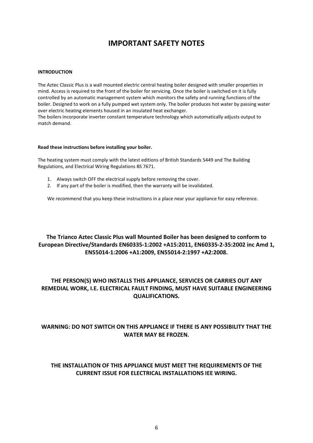### **IMPORTANT SAFETY NOTES**

#### **INTRODUCTION**

The Aztec Classic Plus is a wall mounted electric central heating boiler designed with smaller properties in mind. Access is required to the front of the boiler for servicing. Once the boiler is switched on it is fully controlled by an automatic management system which monitors the safety and running functions of the boiler. Designed to work on a fully pumped wet system only. The boiler produces hot water by passing water over electric heating elements housed in an insulated heat exchanger.

The boilers incorporate inverter constant temperature technology which automatically adjusts output to match demand.

#### **Read these instructions before installing your boiler.**

The heating system must comply with the latest editions of British Standards 5449 and The Building Regulations, and Electrical Wiring Regulations BS 7671.

- 1. Always switch OFF the electrical supply before removing the cover.
- 2. If any part of the boiler is modified, then the warranty will be invalidated.

We recommend that you keep these instructions in a place near your appliance for easy reference.

#### **The Trianco Aztec Classic Plus wall Mounted Boiler has been designed to conform to European Directive/Standards EN60335-1:2002 +A15:2011, EN60335-2-35:2002 inc Amd 1, EN55014-1:2006 +A1:2009, EN55014-2:1997 +A2:2008.**

### **THE PERSON(S) WHO INSTALLS THIS APPLIANCE, SERVICES OR CARRIES OUT ANY REMEDIAL WORK, I.E. ELECTRICAL FAULT FINDING, MUST HAVE SUITABLE ENGINEERING QUALIFICATIONS.**

### **WARNING: DO NOT SWITCH ON THIS APPLIANCE IF THERE IS ANY POSSIBILITY THAT THE WATER MAY BE FROZEN.**

#### **THE INSTALLATION OF THIS APPLIANCE MUST MEET THE REQUIREMENTS OF THE CURRENT ISSUE FOR ELECTRICAL INSTALLATIONS IEE WIRING.**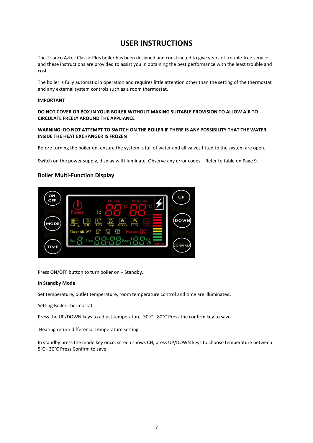### **USER INSTRUCTIONS**

The Trianco Aztec Classic Plus boiler has been designed and constructed to give years of trouble-free service and these instructions are provided to assist you in obtaining the best performance with the least trouble and cost.

The boiler is fully automatic in operation and requires little attention other than the setting of the thermostat and any external system controls such as a room thermostat.

#### **IMPORTANT**

#### **DO NOT COVER OR BOX IN YOUR BOILER WITHOUT MAKING SUITABLE PROVISION TO ALLOW AIR TO CIRCULATE FREELY AROUND THE APPLIANCE**

#### **WARNING: DO NOT ATTEMPT TO SWITCH ON THE BOILER IF THERE IS ANY POSSIBILITY THAT THE WATER INSIDE THE HEAT EXCHANGER IS FROZEN**

Before turning the boiler on, ensure the system is full of water and all valves fitted to the system are open.

Switch on the power supply, display will illuminate. Observe any error codes – Refer to table on Page 9.

#### **Boiler Multi-Function Display**



Press ON/OFF button to turn boiler on – Standby.

#### **In Standby Mode**

Set temperature, outlet temperature, room temperature control and time are illuminated.

#### Setting Boiler Thermostat

Press the UP/DOWN keys to adjust temperature. 30°C - 80°C Press the confirm key to save.

#### Heating return difference Temperature setting

In standby press the mode key once, screen shows CH, press UP/DOWN keys to choose temperature between 5°C - 30°C Press Confirm to save.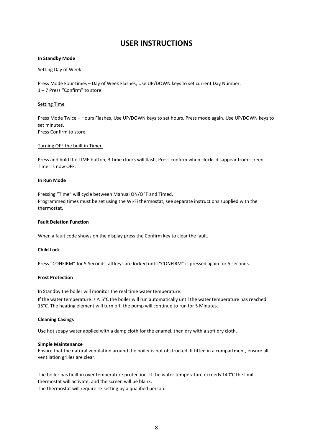### **USER INSTRUCTIONS**

#### **In Standby Mode**

#### Setting Day of Week

Press Mode Four times – Day of Week Flashes, Use UP/DOWN keys to set current Day Number. 1 – 7 Press "Confirm" to store.

#### Setting Time

Press Mode Twice – Hours Flashes, Use UP/DOWN keys to set hours. Press mode again. Use UP/DOWN keys to set minutes. Press Confirm to store.

#### Turning OFF the built in Timer.

Press and hold the TIME button, 3-time clocks will flash, Press confirm when clocks disappear from screen. Timer is now OFF.

#### **In Run Mode**

Pressing "Time" will cycle between Manual ON/OFF and Timed. Programmed times must be set using the Wi-Fi thermostat, see separate instructions supplied with the thermostat.

#### **Fault Deletion Function**

When a fault code shows on the display press the Confirm key to clear the fault.

#### **Child Lock**

Press "CONFIRM" for 5 Seconds, all keys are locked until "CONFIRM" is pressed again for 5 seconds.

#### **Frost Protection**

In Standby the boiler will monitor the real time water temperature.

If the water temperature is < 5°C the boiler will run automatically until the water temperature has reached 15°C. The heating element will turn off, the pump will continue to run for 5 Minutes.

#### **Cleaning Casings**

Use hot soapy water applied with a damp cloth for the enamel, then dry with a soft dry cloth.

#### **Simple Maintenance**

Ensure that the natural ventilation around the boiler is not obstructed. If fitted in a compartment, ensure all ventilation grilles are clear.

The boiler has built in over temperature protection. If the water temperature exceeds 140°C the limit thermostat will activate, and the screen will be blank. The thermostat will require re-setting by a qualified person.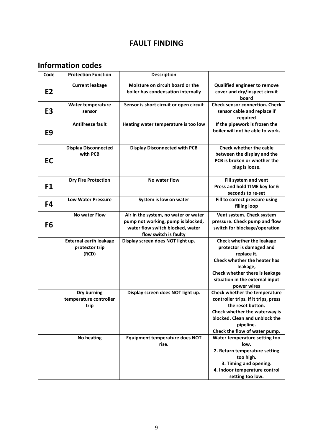### **FAULT FINDING**

## **Information codes**

| Code           | <b>Protection Function</b>                               | <b>Description</b>                                                                                                                      |                                                                                                                                                                                                            |
|----------------|----------------------------------------------------------|-----------------------------------------------------------------------------------------------------------------------------------------|------------------------------------------------------------------------------------------------------------------------------------------------------------------------------------------------------------|
| E <sub>2</sub> | <b>Current leakage</b>                                   | Moisture on circuit board or the<br>boiler has condensation internally                                                                  | Qualified engineer to remove<br>cover and dry/inspect circuit<br>board                                                                                                                                     |
| E3             | <b>Water temperature</b><br>sensor                       | Sensor is short circuit or open circuit                                                                                                 | <b>Check sensor connection. Check</b><br>sensor cable and replace if<br>required                                                                                                                           |
| E <sub>9</sub> | <b>Antifreeze fault</b>                                  | Heating water temperature is too low                                                                                                    | If the pipework is frozen the<br>boiler will not be able to work.                                                                                                                                          |
| <b>EC</b>      | <b>Display Disconnected</b><br>with PCB                  | <b>Display Disconnected with PCB</b>                                                                                                    | <b>Check whether the cable</b><br>between the display and the<br>PCB is broken or whether the<br>plug is loose.                                                                                            |
| F1             | <b>Dry Fire Protection</b>                               | No water flow                                                                                                                           | Fill system and vent<br>Press and hold TIME key for 6<br>seconds to re-set                                                                                                                                 |
| F4             | <b>Low Water Pressure</b>                                | System is low on water                                                                                                                  | Fill to correct pressure using<br>filling loop                                                                                                                                                             |
| F <sub>6</sub> | <b>No water Flow</b>                                     | Air in the system, no water or water<br>pump not working, pump is blocked,<br>water flow switch blocked, water<br>flow switch is faulty | Vent system. Check system<br>pressure. Check pump and flow<br>switch for blockage/operation                                                                                                                |
|                | <b>External earth leakage</b><br>protector trip<br>(RCD) | Display screen does NOT light up.                                                                                                       | Check whether the leakage<br>protector is damaged and<br>replace it.<br>Check whether the heater has<br>leakage,<br>Check whether there is leakage<br>situation in the external input<br>power wires       |
|                | Dry burning<br>temperature controller<br>trip            | Display screen does NOT light up.                                                                                                       | Check whether the temperature<br>controller trips. If it trips, press<br>the reset button<br>Check whether the waterway is<br>blocked. Clean and unblock the<br>pipeline.<br>Check the flow of water pump. |
|                | <b>No heating</b>                                        | <b>Equipment temperature does NOT</b><br>rise.                                                                                          | Water temperature setting too<br>low.<br>2. Return temperature setting<br>too high.<br>3. Timing and opening.<br>4. Indoor temperature control<br>setting too low.                                         |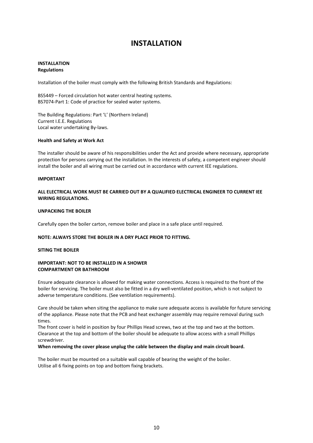#### **INSTALLATION Regulations**

Installation of the boiler must comply with the following British Standards and Regulations:

BS5449 – Forced circulation hot water central heating systems. BS7074-Part 1: Code of practice for sealed water systems.

The Building Regulations: Part 'L' (Northern Ireland) Current I.E.E. Regulations Local water undertaking By-laws.

#### **Health and Safety at Work Act**

The installer should be aware of his responsibilities under the Act and provide where necessary, appropriate protection for persons carrying out the installation. In the interests of safety, a competent engineer should install the boiler and all wiring must be carried out in accordance with current IEE regulations.

#### **IMPORTANT**

#### **ALL ELECTRICAL WORK MUST BE CARRIED OUT BY A QUALIFIED ELECTRICAL ENGINEER TO CURRENT IEE WIRING REGULATIONS.**

#### **UNPACKING THE BOILER**

Carefully open the boiler carton, remove boiler and place in a safe place until required.

#### **NOTE: ALWAYS STORE THE BOILER IN A DRY PLACE PRIOR TO FITTING.**

#### **SITING THE BOILER**

#### **IMPORTANT: NOT TO BE INSTALLED IN A SHOWER COMPARTMENT OR BATHROOM**

Ensure adequate clearance is allowed for making water connections. Access is required to the front of the boiler for servicing. The boiler must also be fitted in a dry well-ventilated position, which is not subject to adverse temperature conditions. (See ventilation requirements).

Care should be taken when siting the appliance to make sure adequate access is available for future servicing of the appliance. Please note that the PCB and heat exchanger assembly may require removal during such times.

The front cover is held in position by four Phillips Head screws, two at the top and two at the bottom. Clearance at the top and bottom of the boiler should be adequate to allow access with a small Phillips screwdriver.

#### **When removing the cover please unplug the cable between the display and main circuit board.**

The boiler must be mounted on a suitable wall capable of bearing the weight of the boiler. Utilise all 6 fixing points on top and bottom fixing brackets.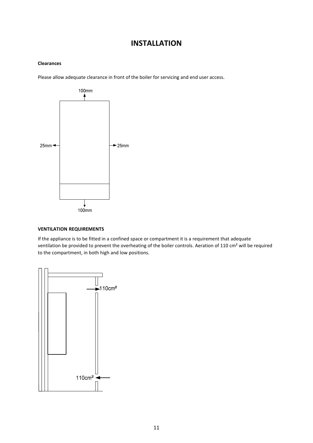#### **Clearances**

Please allow adequate clearance in front of the boiler for servicing and end user access.



#### **VENTILATION REQUIREMENTS**

If the appliance is to be fitted in a confined space or compartment it is a requirement that adequate ventilation be provided to prevent the overheating of the boiler controls. Aeration of 110 cm² will be required to the compartment, in both high and low positions.

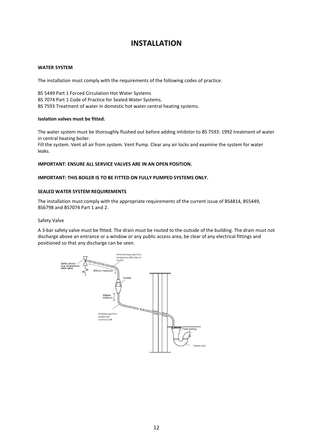#### **WATER SYSTEM**

The installation must comply with the requirements of the following codes of practice.

BS 5449 Part 1 Forced Circulation Hot Water Systems BS 7074 Part 1 Code of Practice for Sealed Water Systems. BS 7593 Treatment of water in domestic hot water central heating systems.

#### **Isolation valves must be fitted.**

The water system must be thoroughly flushed out before adding inhibitor to BS 7593: 1992 treatment of water in central heating boiler.

Fill the system. Vent all air from system. Vent Pump. Clear any air locks and examine the system for water leaks.

#### **IMPORTANT: ENSURE ALL SERVICE VALVES ARE IN AN OPEN POSITION.**

#### **IMPORTANT: THIS BOILER IS TO BE FITTED ON FULLY PUMPED SYSTEMS ONLY.**

#### **SEALED WATER SYSTEM REQUIREMENTS**

The installation must comply with the appropriate requirements of the current issue of BS4814, BS5449, BS6798 and BS7074 Part 1 and 2.

#### Safety Valve

A 3-bar safety valve must be fitted. The drain must be routed to the outside of the building. The drain must not discharge above an entrance or a window or any public access area, be clear of any electrical fittings and positioned so that any discharge can be seen.

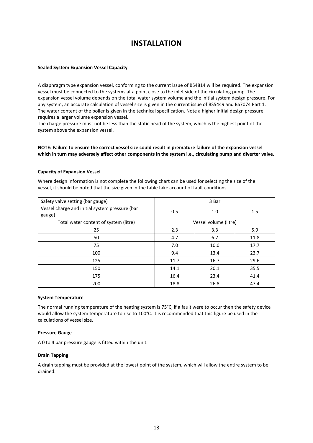#### **Sealed System Expansion Vessel Capacity**

A diaphragm type expansion vessel, conforming to the current issue of BS4814 will be required. The expansion vessel must be connected to the systems at a point close to the inlet side of the circulating pump. The expansion vessel volume depends on the total water system volume and the initial system design pressure. For any system, an accurate calculation of vessel size is given in the current issue of BS5449 and BS7074 Part 1. The water content of the boiler is given in the technical specification. Note a higher initial design pressure requires a larger volume expansion vessel.

The charge pressure must not be less than the static head of the system, which is the highest point of the system above the expansion vessel.

#### **NOTE: Failure to ensure the correct vessel size could result in premature failure of the expansion vessel which in turn may adversely affect other components in the system i.e., circulating pump and diverter valve.**

#### **Capacity of Expansion Vessel**

Where design information is not complete the following chart can be used for selecting the size of the vessel, it should be noted that the size given in the table take account of fault conditions.

| Safety valve setting (bar gauge)                         | 3 Bar                 |      |      |  |
|----------------------------------------------------------|-----------------------|------|------|--|
| Vessel charge and initial system pressure (bar<br>gauge) | 0.5                   | 1.0  | 1.5  |  |
| Total water content of system (litre)                    | Vessel volume (litre) |      |      |  |
| 25                                                       | 2.3                   | 3.3  | 5.9  |  |
| 50                                                       | 4.7                   | 6.7  | 11.8 |  |
| 75                                                       | 7.0                   | 10.0 | 17.7 |  |
| 100                                                      | 9.4                   | 13.4 | 23.7 |  |
| 125                                                      | 11.7                  | 16.7 | 29.6 |  |
| 150                                                      | 14.1                  | 20.1 | 35.5 |  |
| 175                                                      | 16.4                  | 23.4 | 41.4 |  |
| 200                                                      | 18.8                  | 26.8 | 47.4 |  |

#### **System Temperature**

The normal running temperature of the heating system is 75°C, if a fault were to occur then the safety device would allow the system temperature to rise to 100°C. It is recommended that this figure be used in the calculations of vessel size.

#### **Pressure Gauge**

A 0 to 4 bar pressure gauge is fitted within the unit.

#### **Drain Tapping**

A drain tapping must be provided at the lowest point of the system, which will allow the entire system to be drained.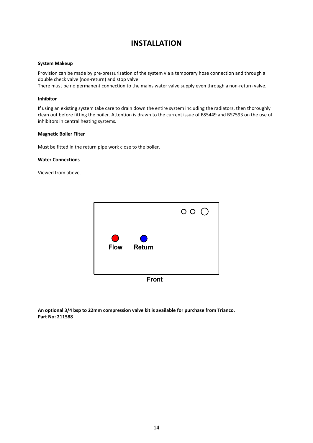#### **System Makeup**

Provision can be made by pre-pressurisation of the system via a temporary hose connection and through a double check valve (non-return) and stop valve.

There must be no permanent connection to the mains water valve supply even through a non-return valve.

#### **Inhibitor**

If using an existing system take care to drain down the entire system including the radiators, then thoroughly clean out before fitting the boiler. Attention is drawn to the current issue of BS5449 and BS7593 on the use of inhibitors in central heating systems.

#### **Magnetic Boiler Filter**

Must be fitted in the return pipe work close to the boiler.

#### **Water Connections**

Viewed from above.



**Front** 

**An optional 3/4 bsp to 22mm compression valve kit is available for purchase from Trianco. Part No: 211588**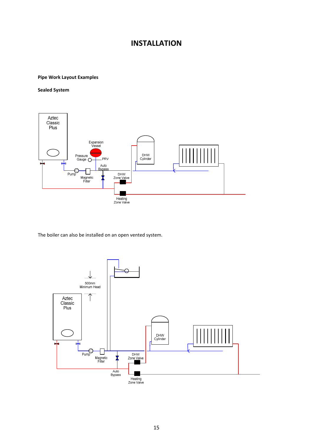#### **Pipe Work Layout Examples**

#### **Sealed System**



The boiler can also be installed on an open vented system.

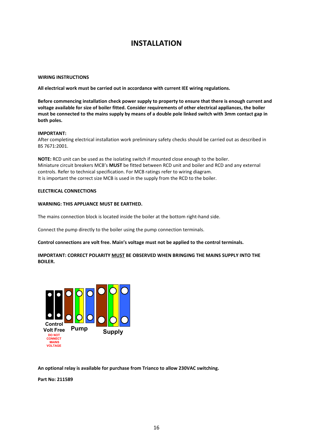#### **WIRING INSTRUCTIONS**

**All electrical work must be carried out in accordance with current IEE wiring regulations.**

**Before commencing installation check power supply to property to ensure that there is enough current and voltage available for size of boiler fitted. Consider requirements of other electrical appliances, the boiler must be connected to the mains supply by means of a double pole linked switch with 3mm contact gap in both poles.**

#### **IMPORTANT:**

After completing electrical installation work preliminary safety checks should be carried out as described in BS 7671:2001.

**NOTE:** RCD unit can be used as the isolating switch if mounted close enough to the boiler. Miniature circuit breakers MCB's **MUST** be fitted between RCD unit and boiler and RCD and any external controls. Refer to technical specification. For MCB ratings refer to wiring diagram. It is important the correct size MCB is used in the supply from the RCD to the boiler.

#### **ELECTRICAL CONNECTIONS**

#### **WARNING: THIS APPLIANCE MUST BE EARTHED.**

The mains connection block is located inside the boiler at the bottom right-hand side.

Connect the pump directly to the boiler using the pump connection terminals.

#### **Control connections are volt free. Main's voltage must not be applied to the control terminals.**

#### **IMPORTANT: CORRECT POLARITY MUST BE OBSERVED WHEN BRINGING THE MAINS SUPPLY INTO THE BOILER.**



**An optional relay is available for purchase from Trianco to allow 230VAC switching.**

**Part No: 211589**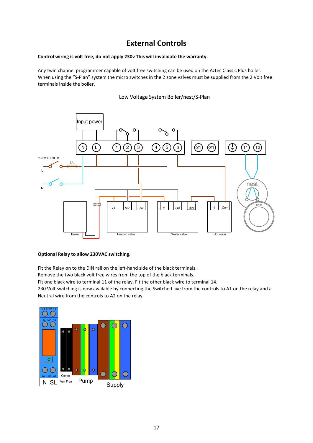### **External Controls**

#### **Control wiring is volt free, do not apply 230v This will invalidate the warranty.**

Any twin channel programmer capable of volt free switching can be used on the Aztec Classic Plus boiler. When using the "S-Plan" system the micro switches in the 2 zone valves must be supplied from the 2 Volt free terminals inside the boiler.

Low Voltage System Boiler/nest/S-Plan



#### **Optional Relay to allow 230VAC switching.**

Fit the Relay on to the DIN rail on the left-hand side of the black terminals.

Remove the two black volt free wires from the top of the black terminals.

Fit one black wire to terminal 11 of the relay, Fit the other black wire to terminal 14.

230 Volt switching is now available by connecting the Switched live from the controls to A1 on the relay and a Neutral wire from the controls to A2 on the relay.

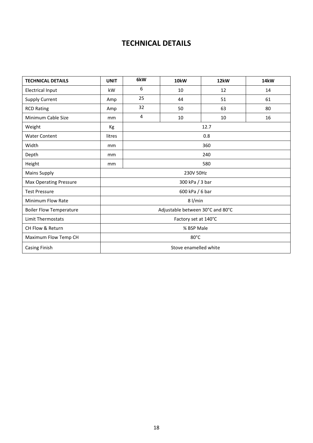### **TECHNICAL DETAILS**

| <b>TECHNICAL DETAILS</b>       | <b>UNIT</b>                      | 6kW       | 10kW | 12kW | 14kW |  |
|--------------------------------|----------------------------------|-----------|------|------|------|--|
| <b>Electrical Input</b>        | kW                               | 6         | 10   | 12   | 14   |  |
| <b>Supply Current</b>          | Amp                              | 25        | 44   | 51   | 61   |  |
| <b>RCD Rating</b>              | Amp                              | 32        | 50   | 63   | 80   |  |
| Minimum Cable Size             | mm                               | 4         | 10   | 10   | 16   |  |
| Weight                         | Кg                               | 12.7      |      |      |      |  |
| <b>Water Content</b>           | litres                           | 0.8       |      |      |      |  |
| Width                          | mm                               | 360       |      |      |      |  |
| Depth                          | <sub>mm</sub>                    | 240       |      |      |      |  |
| Height                         | mm                               | 580       |      |      |      |  |
| <b>Mains Supply</b>            |                                  | 230V 50Hz |      |      |      |  |
| <b>Max Operating Pressure</b>  | 300 kPa / 3 bar                  |           |      |      |      |  |
| <b>Test Pressure</b>           | 600 kPa / 6 bar                  |           |      |      |      |  |
| <b>Minimum Flow Rate</b>       | $8$ l/min                        |           |      |      |      |  |
| <b>Boiler Flow Temperature</b> | Adjustable between 30°C and 80°C |           |      |      |      |  |
| <b>Limit Thermostats</b>       | Factory set at 140°C             |           |      |      |      |  |
| CH Flow & Return               | 3⁄4 BSP Male                     |           |      |      |      |  |
| Maximum Flow Temp CH           | 80°C                             |           |      |      |      |  |
| <b>Casing Finish</b>           | Stove enamelled white            |           |      |      |      |  |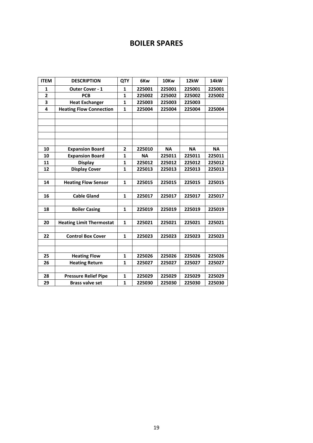### **BOILER SPARES**

| <b>ITEM</b>             | <b>DESCRIPTION</b>              | <b>QTY</b>   | 6Kw       | 10Kw      | 12kW      | 14 <sub>k</sub> W |
|-------------------------|---------------------------------|--------------|-----------|-----------|-----------|-------------------|
| $\mathbf{1}$            | <b>Outer Cover - 1</b>          | $\mathbf{1}$ | 225001    | 225001    | 225001    | 225001            |
| $\overline{\mathbf{c}}$ | <b>PCB</b>                      | 1            | 225002    | 225002    | 225002    | 225002            |
| 3                       | <b>Heat Exchanger</b>           | $\mathbf{1}$ | 225003    | 225003    | 225003    |                   |
| 4                       | <b>Heating Flow Connection</b>  | 1            | 225004    | 225004    | 225004    | 225004            |
|                         |                                 |              |           |           |           |                   |
|                         |                                 |              |           |           |           |                   |
|                         |                                 |              |           |           |           |                   |
|                         |                                 |              |           |           |           |                   |
|                         |                                 |              |           |           |           |                   |
| 10                      | <b>Expansion Board</b>          | 2            | 225010    | <b>NA</b> | <b>NA</b> | <b>NA</b>         |
| 10                      | <b>Expansion Board</b>          | 1            | <b>NA</b> | 225011    | 225011    | 225011            |
| 11                      | <b>Display</b>                  | $\mathbf{1}$ | 225012    | 225012    | 225012    | 225012            |
| 12                      | <b>Display Cover</b>            | $\mathbf{1}$ | 225013    | 225013    | 225013    | 225013            |
|                         |                                 |              |           |           |           |                   |
| 14                      | <b>Heating Flow Sensor</b>      | $\mathbf{1}$ | 225015    | 225015    | 225015    | 225015            |
|                         |                                 |              |           |           |           |                   |
| 16                      | <b>Cable Gland</b>              | $\mathbf{1}$ | 225017    | 225017    | 225017    | 225017            |
|                         |                                 |              |           |           |           |                   |
| 18                      | <b>Boiler Casing</b>            | $\mathbf{1}$ | 225019    | 225019    | 225019    | 225019            |
|                         |                                 |              |           |           |           |                   |
| 20                      | <b>Heating Limit Thermostat</b> | $\mathbf{1}$ | 225021    | 225021    | 225021    | 225021            |
|                         |                                 |              |           |           |           |                   |
| 22                      | <b>Control Box Cover</b>        | $\mathbf{1}$ | 225023    | 225023    | 225023    | 225023            |
|                         |                                 |              |           |           |           |                   |
|                         |                                 |              |           |           |           |                   |
| 25                      | <b>Heating Flow</b>             | 1            | 225026    | 225026    | 225026    | 225026            |
| 26                      | <b>Heating Return</b>           | $\mathbf{1}$ | 225027    | 225027    | 225027    | 225027            |
|                         |                                 |              |           |           |           |                   |
| 28                      | <b>Pressure Relief Pipe</b>     | 1            | 225029    | 225029    | 225029    | 225029            |
| 29                      | <b>Brass valve set</b>          | $\mathbf{1}$ | 225030    | 225030    | 225030    | 225030            |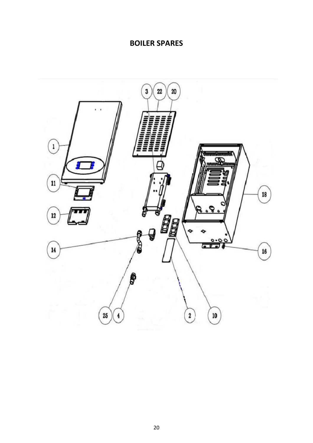### **BOILER SPARES**